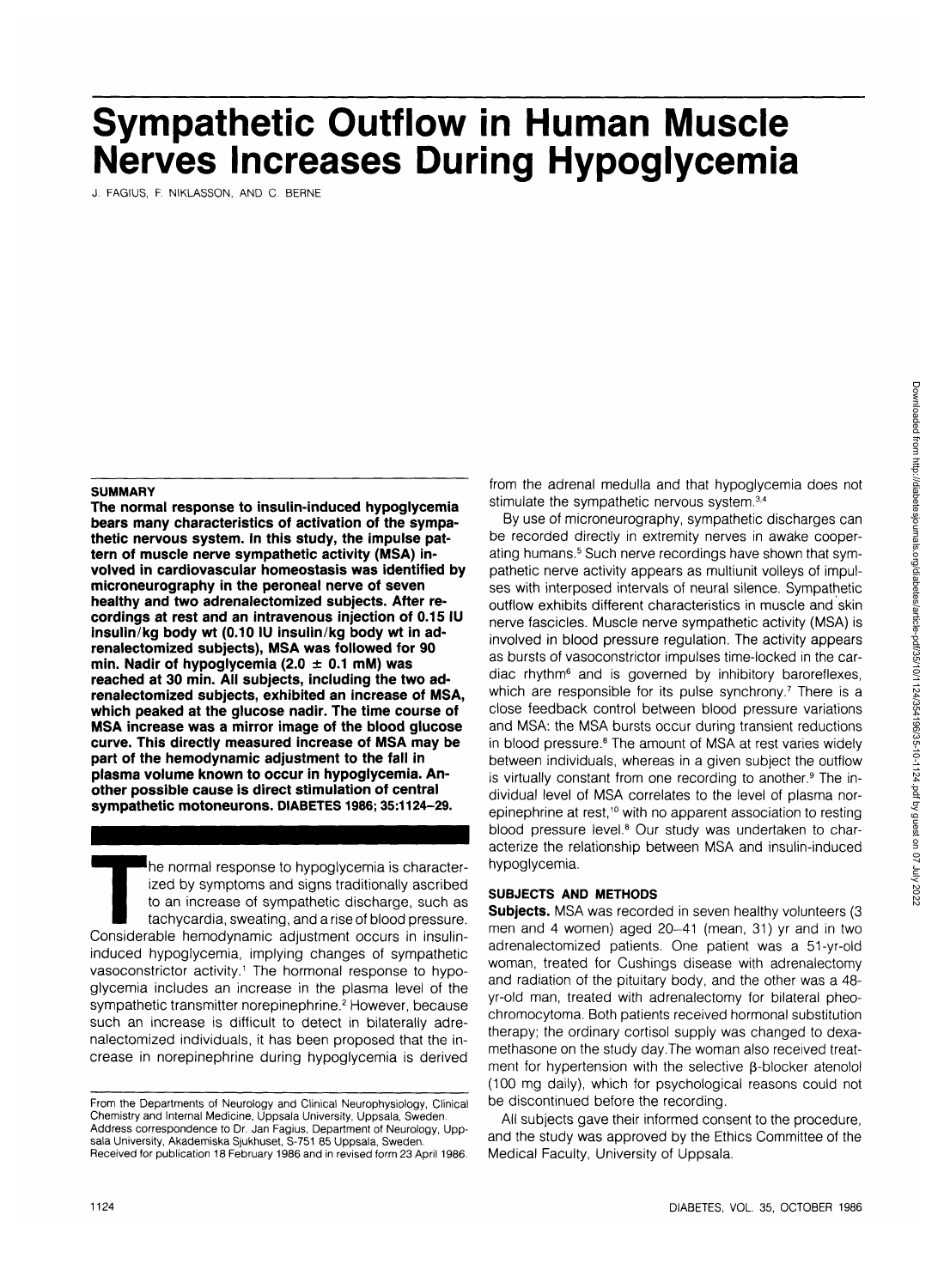# **Sympathetic Outflow in Human Muscle Nerves Increases During Hypoglycemia**

J. FAGIUS, F. NIKLASSON, AND C. BERNE

#### **SUMMARY**

**The normal response to insulin-induced hypoglycemia bears many characteristics of activation of the sympathetic nervous system. In this study, the impulse pattern of muscle nerve sympathetic activity (MSA) involved in cardiovascular homeostasis was identified by microneurography in the peroneal nerve of seven healthy and two adrenalectomized subjects. After recordings at rest and an intravenous injection of 0.15 IU insulin/kg body wt (0.10 IU insulin/kg body wt in adrenalectomized subjects), MSA was followed for 90 min. Nadir of hypoglycemia (2.0 ± 0.1 mM) was reached at 30 min. All subjects, including the two adrenalectomized subjects, exhibited an increase of MSA, which peaked at the glucose nadir. The time course of MSA increase was a mirror image of the blood glucose curve. This directly measured increase of MSA may be part of the hemodynamic adjustment to the fall in plasma volume known to occur in hypoglycemia. Another possible cause is direct stimulation of central sympathetic motoneurons. DIABETES 1986; 35:1124-29.**

The normal response to hypoglycemia is character-<br>
ized by symptoms and signs traditionally ascribed<br>
to an increase of sympathetic discharge, such as<br>
tachycardia, sweating, and a rise of blood pressure.<br>
Considerable hem ized by symptoms and signs traditionally ascribed to an increase of sympathetic discharge, such as tachycardia, sweating, and a rise of blood pressure. induced hypoglycemia, implying changes of sympathetic vasoconstrictor activity.<sup>1</sup> The hormonal response to hypoglycemia includes an increase in the plasma level of the sympathetic transmitter norepinephrine.<sup>2</sup> However, because such an increase is difficult to detect in bilaterally adrenalectomized individuals, it has been proposed that the increase in norepinephrine during hypoglycemia is derived

Received for publication 18 February 1986 and in revised form 23 April 1986.

from the adrenal medulla and that hypoglycemia does not stimulate the sympathetic nervous system.<sup>3,4</sup>

By use of microneurography, sympathetic discharges can be recorded directly in extremity nerves in awake cooperating humans.<sup>5</sup> Such nerve recordings have shown that sympathetic nerve activity appears as multiunit volleys of impulses with interposed intervals of neural silence. Sympathetic outflow exhibits different characteristics in muscle and skin nerve fascicles. Muscle nerve sympathetic activity (MSA) is involved in blood pressure regulation. The activity appears as bursts of vasoconstrictor impulses time-locked in the cardiac rhythm<sup>6</sup> and is governed by inhibitory baroreflexes, which are responsible for its pulse synchrony.<sup>7</sup> There is a close feedback control between blood pressure variations and MSA: the MSA bursts occur during transient reductions in blood pressure.<sup>8</sup> The amount of MSA at rest varies widely between individuals, whereas in a given subject the outflow is virtually constant from one recording to another.<sup>9</sup> The individual level of MSA correlates to the level of plasma norepinephrine at rest,<sup>10</sup> with no apparent association to resting blood pressure level.<sup>8</sup> Our study was undertaken to characterize the relationship between MSA and insulin-induced hypoglycemia.

## **SUBJECTS AND METHODS**

**Subjects.** MSA was recorded in seven healthy volunteers (3 men and 4 women) aged 20-41 (mean, 31) yr and in two adrenalectomized patients. One patient was a 51-yr-old woman, treated for Cushings disease with adrenalectomy and radiation of the pituitary body, and the other was a 48 yr-old man, treated with adrenalectomy for bilateral pheochromocytoma. Both patients received hormonal substitution therapy; the ordinary cortisol supply was changed to dexamethasone on the study day.The woman also received treatment for hypertension with the selective  $\beta$ -blocker atenolol (100 mg daily), which for psychological reasons could not be discontinued before the recording.

All subjects gave their informed consent to the procedure, and the study was approved by the Ethics Committee of the Medical Faculty, University of Uppsala.

From the Departments of Neurology and Clinical Neurophysiology, Clinical Chemistry and Internal Medicine, Uppsala University, Uppsala, Sweden. Address correspondence to Dr. Jan Fagius, Department of Neurology, Uppsala University, Akademiska Sjukhuset, S-751 85 Uppsala, Sweden.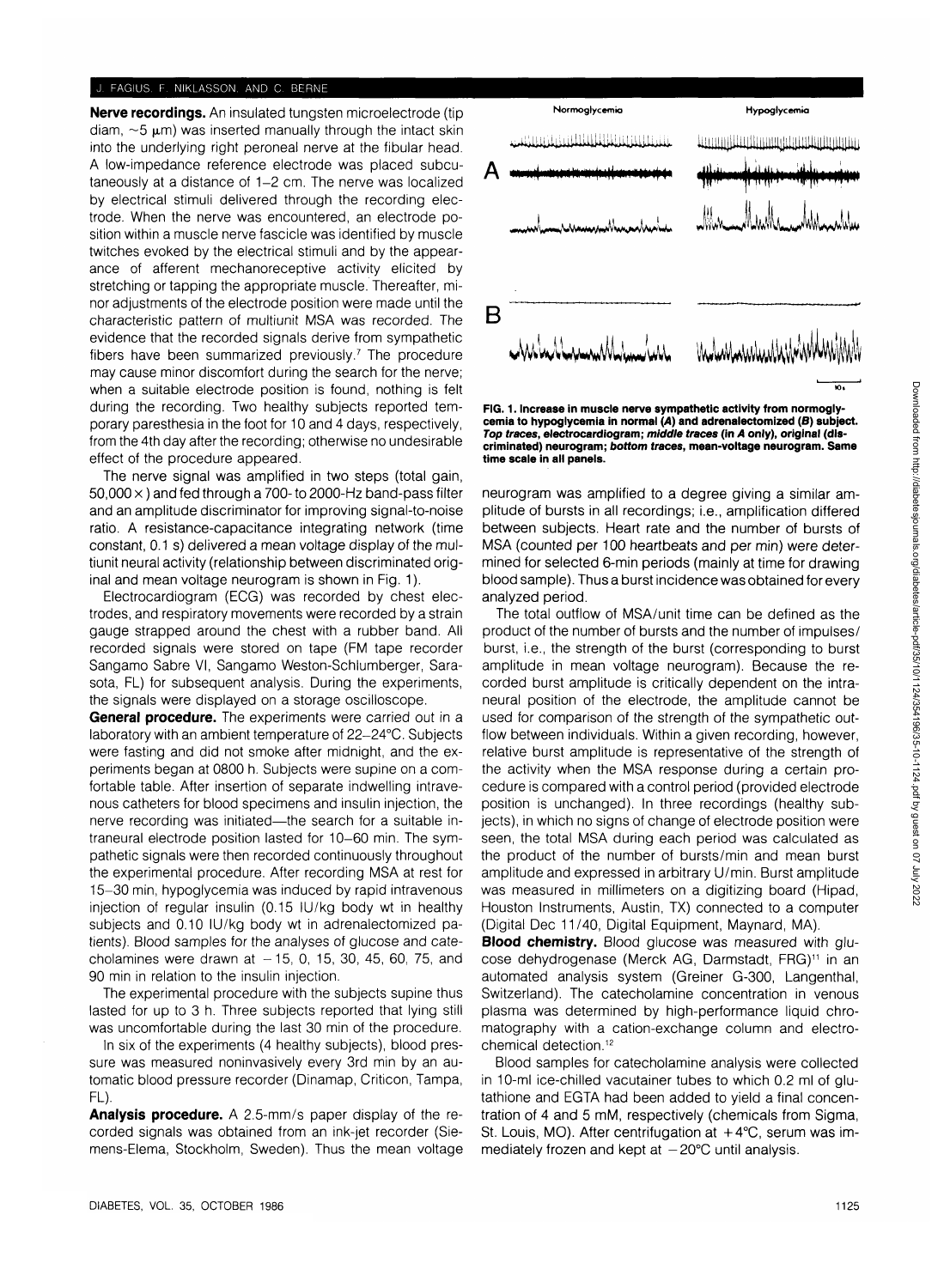#### r AGIUS. F. NIKLASSON. AND C. BERNE

**Nerve recordings.** An insulated tungsten microelectrode (tip  $diam. ~5 \mu m$ ) was inserted manually through the intact skin into the underlying right peroneal nerve at the fibular head. A low-impedance reference electrode was placed subcutaneously at a distance of 1-2 cm. The nerve was localized by electrical stimuli delivered through the recording electrode. When the nerve was encountered, an electrode position within a muscle nerve fascicle was identified by muscle twitches evoked by the electrical stimuli and by the appearance of afferent mechanoreceptive activity elicited by stretching or tapping the appropriate muscle. Thereafter, minor adjustments of the electrode position were made until the characteristic pattern of multiunit MSA was recorded. The evidence that the recorded signals derive from sympathetic fibers have been summarized previously.<sup>7</sup> The procedure may cause minor discomfort during the search for the nerve; when a suitable electrode position is found, nothing is felt during the recording. Two healthy subjects reported temporary paresthesia in the foot for 10 and 4 days, respectively, from the 4th day after the recording; otherwise no undesirable effect of the procedure appeared.

The nerve signal was amplified in two steps (total gain,  $50,000 \times$ ) and fed through a 700- to 2000-Hz band-pass filter and an amplitude discriminator for improving signal-to-noise ratio. A resistance-capacitance integrating network (time constant, 0.1 s) delivered a mean voltage display of the multiunit neural activity (relationship between discriminated original and mean voltage neurogram is shown in Fig. 1).

Electrocardiogram (ECG) was recorded by chest electrodes, and respiratory movements were recorded by a strain gauge strapped around the chest with a rubber band. All recorded signals were stored on tape (FM tape recorder Sangamo Sabre VI, Sangamo Weston-Schlumberger, Sarasota, FL) for subsequent analysis. During the experiments, the signals were displayed on a storage oscilloscope.

**General procedure.** The experiments were carried out in a laboratory with an ambient temperature of 22-24°C. Subjects were fasting and did not smoke after midnight, and the experiments began at 0800 h. Subjects were supine on a comfortable table. After insertion of separate indwelling intravenous catheters for blood specimens and insulin injection, the nerve recording was initiated—the search for a suitable intraneural electrode position lasted for 10-60 min. The sympathetic signals were then recorded continuously throughout the experimental procedure. After recording MSA at rest for 15-30 min, hypoglycemia was induced by rapid intravenous injection of regular insulin (0.15 IU/kg body wt in healthy subjects and 0.10 IU/kg body wt in adrenalectomized patients). Blood samples for the analyses of glucose and catecholamines were drawn at  $-15$ , 0, 15, 30, 45, 60, 75, and 90 min in relation to the insulin injection.

The experimental procedure with the subjects supine thus lasted for up to 3 h. Three subjects reported that lying still was uncomfortable during the last 30 min of the procedure.

In six of the experiments (4 healthy subjects), blood pressure was measured noninvasively every 3rd min by an automatic blood pressure recorder (Dinamap, Criticon, Tampa, FL).

**Analysis procedure.** A 2.5-mm/s paper display of the recorded signals was obtained from an ink-jet recorder (Siemens-Elema, Stockholm, Sweden). Thus the mean voltage



**FIG. 1. Increase in muscle nerve sympathetic activity from normoglycemia to hypoglycemia in normal (A) and adrenalectomized (B) subject. Top traces, electrocardiogram; middle traces (in A only), original (discriminated) neurogram; bottom traces, mean-voltage neurogram. Same time scale in all panels.**

neurogram was amplified to a degree giving a similar amplitude of bursts in all recordings; i.e., amplification differed between subjects. Heart rate and the number of bursts of MSA (counted per 100 heartbeats and per min) were determined for selected 6-min periods (mainly at time for drawing blood sample). Thus a burst incidence was obtained for every analyzed period.

The total outflow of MSA/unit time can be defined as the product of the number of bursts and the number of impulses/ burst, i.e., the strength of the burst (corresponding to burst amplitude in mean voltage neurogram). Because the recorded burst amplitude is critically dependent on the intraneural position of the electrode, the amplitude cannot be used for comparison of the strength of the sympathetic outflow between individuals. Within a given recording, however, relative burst amplitude is representative of the strength of the activity when the MSA response during a certain procedure is compared with a control period (provided electrode position is unchanged). In three recordings (healthy subjects), in which no signs of change of electrode position were seen, the total MSA during each period was calculated as the product of the number of bursts/min and mean burst amplitude and expressed in arbitrary U/min. Burst amplitude was measured in millimeters on a digitizing board (Hipad, Houston Instruments, Austin, TX) connected to a computer (Digital Dec 11/40, Digital Equipment, Maynard, MA).

**Blood chemistry.** Blood glucose was measured with glucose dehydrogenase (Merck AG, Darmstadt, FRG)<sup>11</sup> in an automated analysis system (Greiner G-300, Langenthal, Switzerland). The catecholamine concentration in venous plasma was determined by high-performance liquid chromatography with a cation-exchange column and electrochemical detection.12

Blood samples for catecholamine analysis were collected in 10-ml ice-chilled vacutainer tubes to which 0.2 ml of glutathione and EGTA had been added to yield a final concentration of 4 and 5 mM, respectively (chemicals from Sigma, St. Louis, MO). After centrifugation at  $+4^{\circ}$ C, serum was immediately frozen and kept at  $-20^{\circ}$ C until analysis.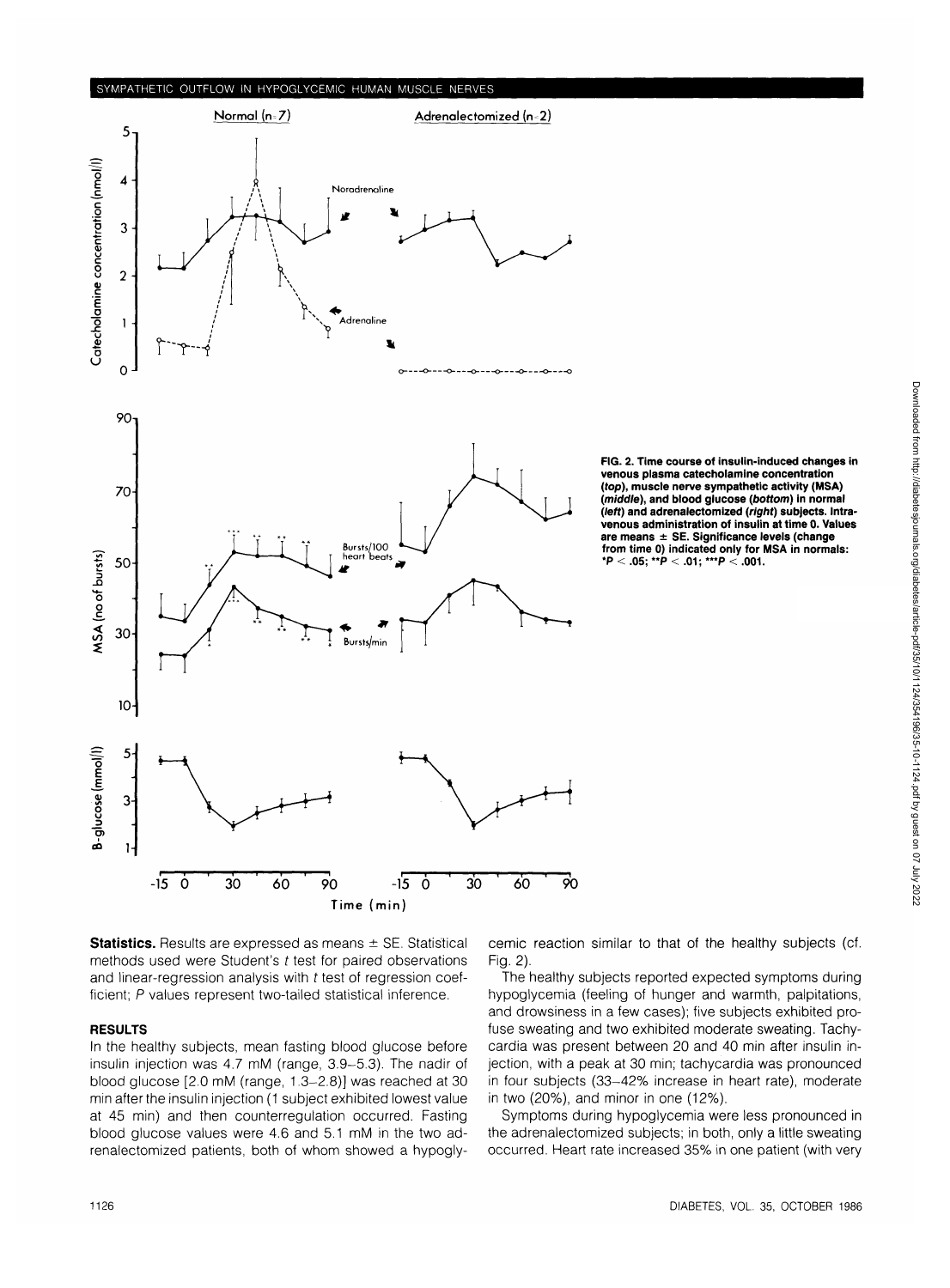# SYMPATHETIC OUTFLOW IN HYPOGLYCEMIC HUMAN MUSCLE NERVES



FIG. 2. Time course of insulin-induced changes in venous plasma catecholamine concentration (top), muscle nerve sympathetic activity **(MSA)** (middle), and blood glucose (bottom) in normal<br>(left) and adrenalectomized (right) subjects. Intravenous administration of insulin at time 0. Values<br>are means  $\pm$  SE. Significance levels (change<br>from time 0) indicated only for MSA in normals:<br> $^{\star}P < .05; ^{\star\star}P < .01; ^{\star\star\star}P < .001.$ 

**Statistics.** Results are expressed as means  $\pm$  SE. Statistical methods used were Student's t test for paired observations and linear-regression analysis with  $t$  test of regression coefficient; P values represent two-tailed statistical inference.

### **RESULTS**

In the healthy subjects, mean fasting blood glucose before insulin injection was 4.7 mM (range, 3.9-5.3). The nadir of blood glucose [2.0 mM (range, 1.3-2.8)] was reached at 30 min after the insulin injection (1 subject exhibited lowest value at 45 min) and then counterregulation occurred. Fasting blood glucose values were 4.6 and 5.1 mM in the two adrenalectomized patients, both of whom showed a hypoglycemic reaction similar to that of the healthy subjects (cf. Fig. 2).

The healthy subjects reported expected symptoms during hypoglycemia (feeling of hunger and warmth, palpitations, and drowsiness in a few cases); five subjects exhibited profuse sweating and two exhibited moderate sweating. Tachycardia was present between 20 and 40 min after insulin injection, with a peak at 30 min; tachycardia was pronounced in four subjects (33-42% increase in heart rate), moderate in two (20%), and minor in one (12%).

Symptoms during hypoglycemia were less pronounced in the adrenalectomized subjects; in both, only a little sweating occurred. Heart rate increased 35% in one patient (with very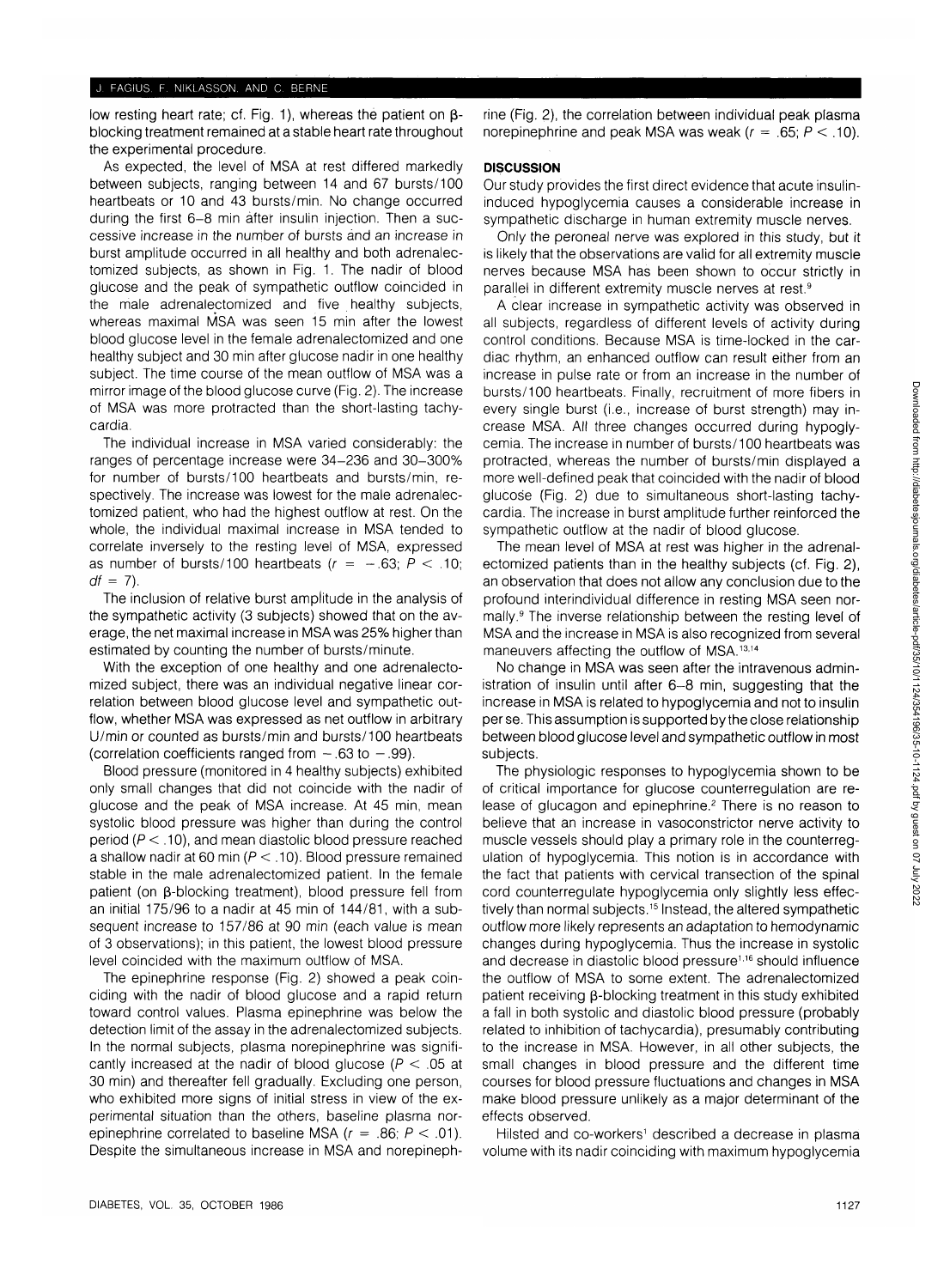low resting heart rate; cf. Fig. 1), whereas the patient on  $\beta$ blocking treatment remained at a stable heart rate throughout the experimental procedure.

As expected, the level of MSA at rest differed markedly between subjects, ranging between 14 and 67 bursts/100 heartbeats or 10 and 43 bursts/min. No change occurred during the first 6-8 min after insulin injection. Then a successive increase in the number of bursts and an increase in burst amplitude occurred in all healthy and both adrenalectomized subjects, as shown in Fig. 1. The nadir of blood glucose and the peak of sympathetic outflow coincided in the male adrenalectomized and five healthy subjects, whereas maximal MSA was seen 15 min after the lowest blood glucose level in the female adrenalectomized and one healthy subject and 30 min after glucose nadir in one healthy subject. The time course of the mean outflow of MSA was a mirror image of the blood glucose curve (Fig. 2). The increase of MSA was more protracted than the short-lasting tachycardia.

The individual increase in MSA varied considerably: the ranges of percentage increase were 34-236 and 30-300% for number of bursts/100 heartbeats and bursts/min, respectively. The increase was lowest for the male adrenalectomized patient, who had the highest outflow at rest. On the whole, the individual maximal increase in MSA tended to correlate inversely to the resting level of MSA, expressed as number of bursts/100 heartbeats  $(r = -.63; P < .10;$  $df = 7$ ).

The inclusion of relative burst amplitude in the analysis of the sympathetic activity (3 subjects) showed that on the average, the net maximal increase in MSA was 25% higher than estimated by counting the number of bursts/minute.

With the exception of one healthy and one adrenalectomized subject, there was an individual negative linear correlation between blood glucose level and sympathetic outflow, whether MSA was expressed as net outflow in arbitrary U/min or counted as bursts/min and bursts/100 heartbeats (correlation coefficients ranged from  $-.63$  to  $-.99$ ).

Blood pressure (monitored in 4 healthy subjects) exhibited only small changes that did not coincide with the nadir of glucose and the peak of MSA increase. At 45 min, mean systolic blood pressure was higher than during the control period ( $P < 0.10$ ), and mean diastolic blood pressure reached a shallow nadir at 60 min ( $P < 10$ ). Blood pressure remained stable in the male adrenalectomized patient. In the female patient (on  $\beta$ -blocking treatment), blood pressure fell from an initial 175/96 to a nadir at 45 min of 144/81, with a subsequent increase to 157/86 at 90 min (each value is mean of 3 observations); in this patient, the lowest blood pressure level coincided with the maximum outflow of MSA.

The epinephrine response (Fig. 2) showed a peak coinciding with the nadir of blood glucose and a rapid return toward control values. Plasma epinephrine was below the detection limit of the assay in the adrenalectomized subjects. In the normal subjects, plasma norepinephrine was significantly increased at the nadir of blood glucose ( $P < .05$  at 30 min) and thereafter fell gradually. Excluding one person, who exhibited more signs of initial stress in view of the experimental situation than the others, baseline plasma norepinephrine correlated to baseline MSA ( $r = .86$ ;  $P < .01$ ). Despite the simultaneous increase in MSA and norepinephrine (Fig. 2), the correlation between individual peak plasma norepinephrine and peak MSA was weak ( $r = .65$ ;  $P < .10$ ).

# **DISCUSSION**

Our study provides the first direct evidence that acute insulininduced hypoglycemia causes a considerable increase in sympathetic discharge in human extremity muscle nerves.

Only the peroneal nerve was explored in this study, but it is likely that the observations are valid for all extremity muscle nerves because MSA has been shown to occur strictly in parallel in different extremity muscle nerves at rest.9

A clear increase in sympathetic activity was observed in all subjects, regardless of different levels of activity during control conditions. Because MSA is time-locked in the cardiac rhythm, an enhanced outflow can result either from an increase in pulse rate or from an increase in the number of bursts/100 heartbeats. Finally, recruitment of more fibers in every single burst (i.e., increase of burst strength) may increase MSA. All three changes occurred during hypoglycemia. The increase in number of bursts/100 heartbeats was protracted, whereas the number of bursts/min displayed a more well-defined peak that coincided with the nadir of blood glucose (Fig. 2) due to simultaneous short-lasting tachycardia. The increase in burst amplitude further reinforced the sympathetic outflow at the nadir of blood glucose.

The mean level of MSA at rest was higher in the adrenalectomized patients than in the healthy subjects (cf. Fig. 2), an observation that does not allow any conclusion due to the profound interindividual difference in resting MSA seen normally.<sup>9</sup> The inverse relationship between the resting level of MSA and the increase in MSA is also recognized from several maneuvers affecting the outflow of MSA.<sup>13,14</sup>

No change in MSA was seen after the intravenous administration of insulin until after 6-8 min, suggesting that the increase in MSA is related to hypoglycemia and not to insulin per se. This assumption is supported by the close relationship between blood glucose level and sympathetic outflow in most subjects.

The physiologic responses to hypoglycemia shown to be of critical importance for glucose counterregulation are release of glucagon and epinephrine.<sup>2</sup> There is no reason to believe that an increase in vasoconstrictor nerve activity to muscle vessels should play a primary role in the counterregulation of hypoglycemia. This notion is in accordance with the fact that patients with cervical transection of the spinal cord counterregulate hypoglycemia only slightly less effectively than normal subjects.<sup>15</sup> Instead, the altered sympathetic outflow more likely represents an adaptation to hemodynamic changes during hypoglycemia. Thus the increase in systolic and decrease in diastolic blood pressure<sup>1,16</sup> should influence the outflow of MSA to some extent. The adrenalectomized patient receiving  $\beta$ -blocking treatment in this study exhibited a fall in both systolic and diastolic blood pressure (probably related to inhibition of tachycardia), presumably contributing to the increase in MSA. However, in all other subjects, the small changes in blood pressure and the different time courses for blood pressure fluctuations and changes in MSA make blood pressure unlikely as a major determinant of the effects observed.

Hilsted and co-workers<sup>1</sup> described a decrease in plasma volume with its nadir coinciding with maximum hypoglycemia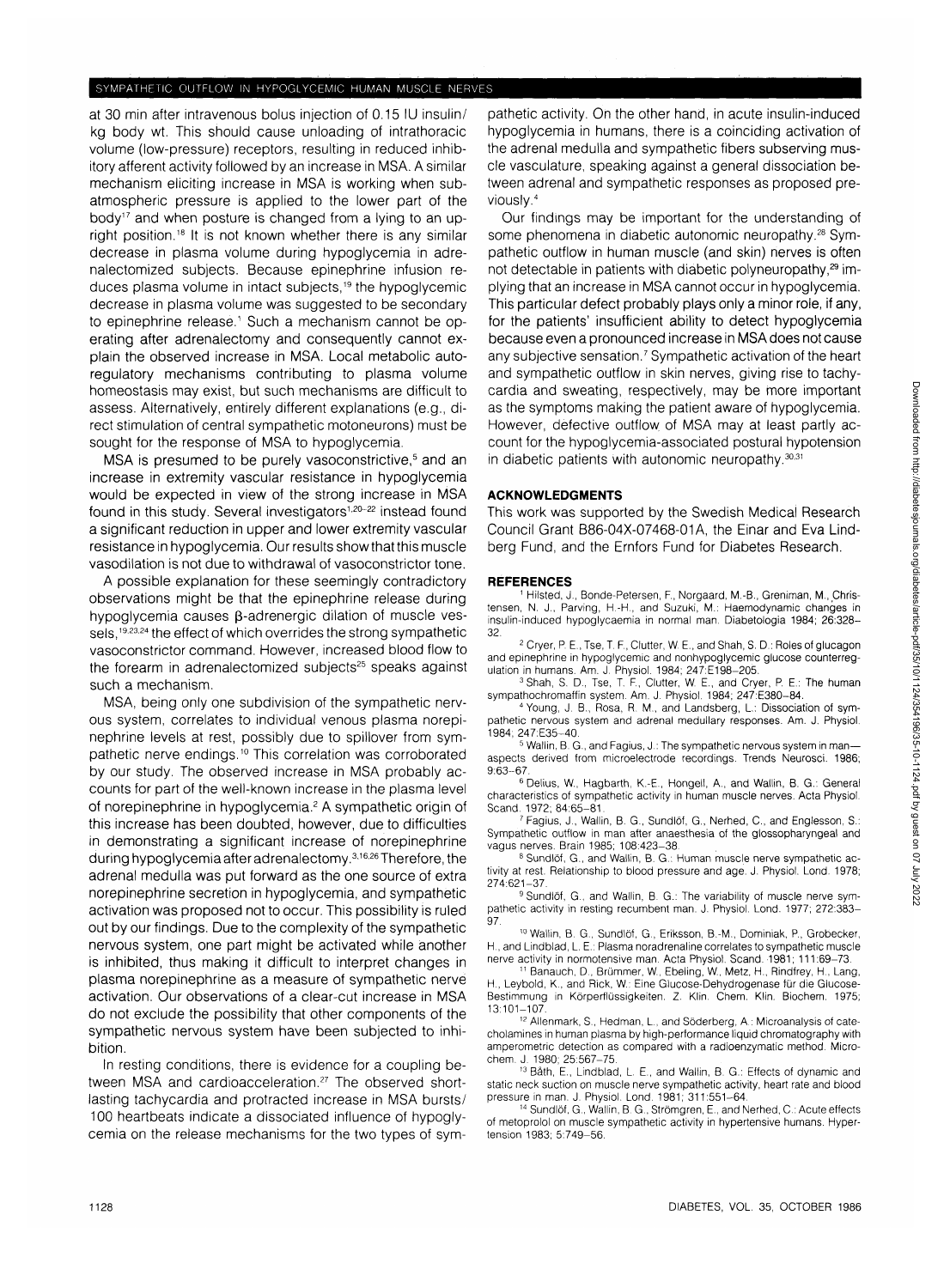## SYMPATHETIC OUTFLOW IN HYPOGLYCEMIC HUMAN MUSCLE NERVES

at 30 min after intravenous bolus injection of 0.15 IU insulin/ kg body wt. This should cause unloading of intrathoracic volume (low-pressure) receptors, resulting in reduced inhibitory afferent activity followed by an increase in MSA. A similar mechanism eliciting increase in MSA is working when subatmospheric pressure is applied to the lower part of the body<sup>17</sup> and when posture is changed from a lying to an upright position.<sup>18</sup> It is not known whether there is any similar decrease in plasma volume during hypoglycemia in adrenalectomized subjects. Because epinephrine infusion reduces plasma volume in intact subjects,<sup>19</sup> the hypoglycemic decrease in plasma volume was suggested to be secondary to epinephrine release.<sup>1</sup> Such a mechanism cannot be operating after adrenalectomy and consequently cannot explain the observed increase in MSA. Local metabolic autoregulatory mechanisms contributing to plasma volume homeostasis may exist, but such mechanisms are difficult to assess. Alternatively, entirely different explanations (e.g., direct stimulation of central sympathetic motoneurons) must be sought for the response of MSA to hypoglycemia.

MSA is presumed to be purely vasoconstrictive,<sup>5</sup> and an increase in extremity vascular resistance in hypoglycemia would be expected in view of the strong increase in MSA found in this study. Several investigators<sup>1,20-22</sup> instead found a significant reduction in upper and lower extremity vascular resistance in hypoglycemia. Our results show that this muscle vasodilation is not due to withdrawal of vasoconstrictor tone.

A possible explanation for these seemingly contradictory observations might be that the epinephrine release during hypoglycemia causes  $\beta$ -adrenergic dilation of muscle vessels,<sup>19,23,24</sup> the effect of which overrides the strong sympathetic vasoconstrictor command. However, increased blood flow to the forearm in adrenalectomized subjects<sup>25</sup> speaks against such a mechanism.

MSA, being only one subdivision of the sympathetic nervous system, correlates to individual venous plasma norepinephrine levels at rest, possibly due to spillover from sympathetic nerve endings.<sup>10</sup> This correlation was corroborated by our study. The observed increase in MSA probably accounts for part of the well-known increase in the plasma level of norepinephrine in hypoglycemia.<sup>2</sup> A sympathetic origin of this increase has been doubted, however, due to difficulties in demonstrating a significant increase of norepinephrine during hypoglycemiaafteradrenalectomy.<sup>31626</sup> Therefore, the adrenal medulla was put forward as the one source of extra norepinephrine secretion in hypoglycemia, and sympathetic activation was proposed not to occur. This possibility is ruled out by our findings. Due to the complexity of the sympathetic nervous system, one part might be activated while another is inhibited, thus making it difficult to interpret changes in plasma norepinephrine as a measure of sympathetic nerve activation. Our observations of a clear-cut increase in MSA do not exclude the possibility that other components of the sympathetic nervous system have been subjected to inhibition.

In resting conditions, there is evidence for a coupling between MSA and cardioacceleration.<sup>27</sup> The observed shortlasting tachycardia and protracted increase in MSA bursts/ 100 heartbeats indicate a dissociated influence of hypoglycemia on the release mechanisms for the two types of sym-

pathetic activity. On the other hand, in acute insulin-induced hypoglycemia in humans, there is a coinciding activation of the adrenal medulla and sympathetic fibers subserving muscle vasculature, speaking against a general dissociation between adrenal and sympathetic responses as proposed previously.4

Our findings may be important for the understanding of some phenomena in diabetic autonomic neuropathy.<sup>28</sup> Sympathetic outflow in human muscle (and skin) nerves is often not detectable in patients with diabetic polyneuropathy,<sup>29</sup> implying that an increase in MSA cannot occur in hypoglycemia. This particular defect probably plays only a minor role, if any, for the patients' insufficient ability to detect hypoglycemia because even a pronounced increase in MSA does not cause any subjective sensation.<sup>7</sup> Sympathetic activation of the heart and sympathetic outflow in skin nerves, giving rise to tachycardia and sweating, respectively, may be more important as the symptoms making the patient aware of hypoglycemia. However, defective outflow of MSA may at least partly account for the hypoglycemia-associated postural hypotension in diabetic patients with autonomic neuropathy.<sup>30,31</sup>

## **ACKNOWLEDGMENTS**

This work was supported by the Swedish Medical Research Council Grant B86-04X-07468-01A, the Einar and Eva Lindberg Fund, and the Ernfors Fund for Diabetes Research.

#### **REFERENCES**

 Hilsted, J., Bonde-Petersen, F, Norgaard, M.-B., Greniman, M., Christensen, N. J., Parving, H.-H., and Suzuki, M.: Haemodynamic changes in insulin-induced hypoglycaemia in normal man. Diabetologia 1984; 26:328- 32

 Cryer, P. E., Tse, T. F, Clutter, W. E., and Shah, S. D.: Roles of glucagon and epinephrine in hypoglycemic and nonhypoglycemic glucose counterregulation in humans. Am. J. Physiol. 1984; 247:E198-205.

 Shah, S. D., Tse, T. F, Clutter, W. E., and Cryer, P. E.: The human sympathochromaffin system. Am. J. Physiol. 1984; 247:E380-84.

 Young, J. B., Rosa, R. M., and Landsberg, L: Dissociation of sympathetic nervous system and adrenal medullary responses. Am. J. Physiol. 1984; 247:E35-40. <sup>5</sup>

 Wallin, B. G., and Fagius, J.: The sympathetic nervous system in man aspects derived from microelectrode recordings. Trends Neurosci. 1986; 9:63-67.

6 Delius, W., Hagbarth, K.-E., Hongell, A., and Wallin, B. G.: General characteristics of sympathetic activity in human muscle nerves. Acta Physiol. Scand. 1972; 84:65-81.

<sup>7</sup> Fagius, J., Wallin, B. G., Sundlöf, G., Nerhed, C., and Englesson, S.: Sympathetic outflow in man after anaesthesia of the glossopharyngeal and vagus nerves. Brain 1985; 108:423-38.

8 Sundlöf, G., and Wallin, B. G.: Human muscle nerve sympathetic activity at rest. Relationship to blood pressure and age. J. Physiol. Lond. 1978; 274:621-37

<sup>9</sup> Sundlöf, G., and Wallin, B. G.: The variability of muscle nerve sympathetic activity in resting recumbent man. J. Physiol. Lond. 1977; 272:383- .97

<sup>10</sup> Wallin, B. G., Sundlöf, G., Eriksson, B.-M., Dominiak, P., Grobecker, H, and Lindblad, L. E.: Plasma noradrenaline correlates to sympathetic muscle nerve activity in normotensive man. Acta Physiol. Scand. 1981; 111:69-73.

 Banauch, D., Brummer, W., Ebeling, W., Metz, H., Rindfrey, H., Lang, H., Leybold, K., and Rick, W.: Eine Glucose-Dehydrogenase fur die Glucose-Bestimmung in Körperflüssigkeiten. Z. Klin. Chem. Klin. Biochem. 1975; 13:101-107

12 Allenmark, S., Hedman, L., and Söderberg, A.: Microanalysis of catecholamines in human plasma by high-performance liquid chromatography with amperometric detection as compared with a radioenzymatic method. Microchem. J. 1980; 25:567-75.<br><sup>13</sup> Båth, E., Lindblad, L. E., and Wallin, B. G.: Effects of dynamic and

static neck suction on muscle nerve sympathetic activity, heart rate and blood pressure in man. J. Physiol. Lond. 1981; 311:551-64.

Sundlöf, G., Wallin, B. G., Strömgren, E., and Nerhed, C.: Acute effects of metoprolol on muscle sympathetic activity in hypertensive humans. Hypertension 1983; 5:749-56.